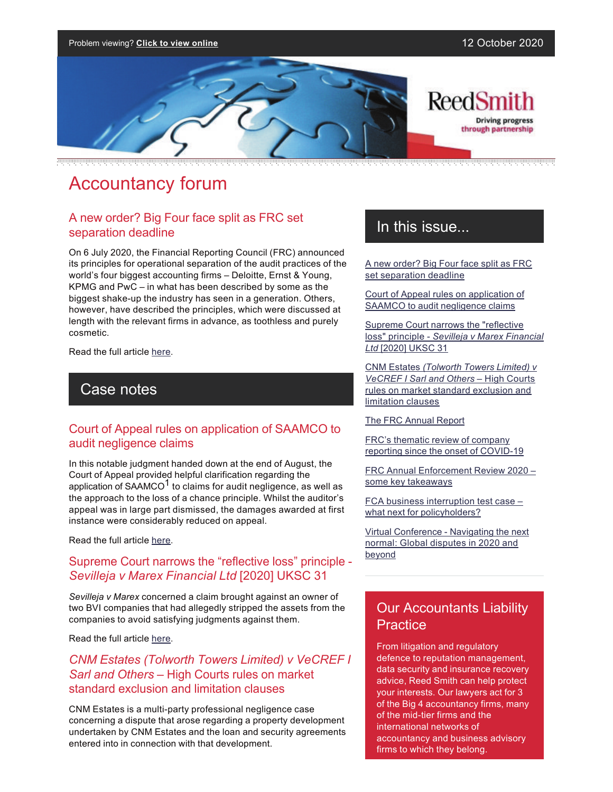

# Accountancy forum

### A new order? Big Four face split as FRC set separation deadline

On 6 July 2020, the Financial Reporting Council (FRC) announced its principles for operational separation of the audit practices of the world's four biggest accounting firms – Deloitte, Ernst & Young, KPMG and PwC – in what has been described by some as the biggest shake-up the industry has seen in a generation. Others, however, have described the principles, which were discussed at length with the relevant firms in advance, as toothless and purely cosmetic.

Read the full article [here.](https://communications.reedsmith.com/67/4277/landing-pages/a-new-order--big-four-face-split-as-frc-set-separation-deadline.asp)

### Case notes

#### Court of Appeal rules on application of SAAMCO to audit negligence claims

In this notable judgment handed down at the end of August, the Court of Appeal provided helpful clarification regarding the application of SAAMCO<sup>1</sup> to claims for audit negligence, as well as the approach to the loss of a chance principle. Whilst the auditor's appeal was in large part dismissed, the damages awarded at first instance were considerably reduced on appeal.

Read the full article [here.](https://communications.reedsmith.com/67/4277/landing-pages/court-of-appeal-rules-on-application-of-saamco-to-audit-negligence-claims.asp)

#### Supreme Court narrows the "reflective loss" principle *Sevilleja v Marex Financial Ltd* [2020] UKSC 31

*Sevilleja v Marex* concerned a claim brought against an owner of two BVI companies that had allegedly stripped the assets from the companies to avoid satisfying judgments against them.

Read the full article [here.](https://communications.reedsmith.com/67/4277/landing-pages/sevilleja-v-marex-financial-ltd--2020--uksc-31.asp)

#### *CNM Estates (Tolworth Towers Limited) v VeCREF I Sarl and Others –* High Courts rules on market standard exclusion and limitation clauses

CNM Estates is a multi-party professional negligence case concerning a dispute that arose regarding a property development undertaken by CNM Estates and the loan and security agreements entered into in connection with that development.

### In this issue...

[A new order? Big Four face split as FRC](https://communications.reedsmith.com/67/4277/landing-pages/a-new-order--big-four-face-split-as-frc-set-separation-deadline.asp)  [set separation deadline](https://communications.reedsmith.com/67/4277/landing-pages/a-new-order--big-four-face-split-as-frc-set-separation-deadline.asp)

[Court of Appeal rules on application of](https://communications.reedsmith.com/67/4277/landing-pages/court-of-appeal-rules-on-application-of-saamco-to-audit-negligence-claims.asp) [SAAMCO to audit negligence claims](https://communications.reedsmith.com/67/4277/landing-pages/court-of-appeal-rules-on-application-of-saamco-to-audit-negligence-claims.asp)

[Supreme Court narrows the "reflective](https://communications.reedsmith.com/67/4277/landing-pages/sevilleja-v-marex-financial-ltd--2020--uksc-31.asp) loss" principle *[Sevilleja v Marex Financial](https://communications.reedsmith.com/67/4277/landing-pages/sevilleja-v-marex-financial-ltd--2020--uksc-31.asp) Ltd* [2020] [UKSC 31](https://communications.reedsmith.com/67/4277/landing-pages/sevilleja-v-marex-financial-ltd--2020--uksc-31.asp)

CNM Estates *[\(Tolworth Towers Limited\) v](https://communications.reedsmith.com/67/4277/landing-pages/cnm-estates-(tolworth-towers-limited)-v-vecref-i-sarl-and-others.asp) [VeCREF I Sarl and Others](https://communications.reedsmith.com/67/4277/landing-pages/cnm-estates-(tolworth-towers-limited)-v-vecref-i-sarl-and-others.asp)* – High Courts [rules on market standard exclusion and](https://communications.reedsmith.com/67/4277/landing-pages/cnm-estates-(tolworth-towers-limited)-v-vecref-i-sarl-and-others.asp)  [limitation clauses](https://communications.reedsmith.com/67/4277/landing-pages/cnm-estates-(tolworth-towers-limited)-v-vecref-i-sarl-and-others.asp)

#### [The FRC Annual Report](https://communications.reedsmith.com/67/4277/landing-pages/frc-annual-report.asp)

[FRC's thematic review of company](https://communications.reedsmith.com/67/4277/landing-pages/frc-s-thematic-review-of-company-reporting-since-the-onset-of-covid-19.asp) reporting since the onset of COVID-19

[FRC Annual Enforcement Review 2020 –](https://communications.reedsmith.com/67/4277/landing-pages/frc-annual-enforcement-review-2020---some-key-takeaways.asp)  [some key takeaways](https://communications.reedsmith.com/67/4277/landing-pages/frc-annual-enforcement-review-2020---some-key-takeaways.asp)

FCA business interruption test case [what next for policyholders?](https://www.reedsmith.com/en/perspectives/2020/09/fca-business-interruption-test-case-what-next-for-policyholders)

[Virtual Conference Navigating the next](https://www.reedsmith.com/en/events/2020/10/navigating-the-next-normal-global-disputes-in-2020-and-beyond)  [normal: Global disputes in 2020 and](https://www.reedsmith.com/en/events/2020/10/navigating-the-next-normal-global-disputes-in-2020-and-beyond)  [beyond](https://www.reedsmith.com/en/events/2020/10/navigating-the-next-normal-global-disputes-in-2020-and-beyond)

### Our Accountants Liability **Practice**

From litigation and regulatory defence to reputation management, data security and insurance recovery advice, Reed Smith can help protect your interests. Our lawyers act for 3 of the Big 4 accountancy firms, many of the mid-tier firms and the international networks of accountancy and business advisory firms to which they belong.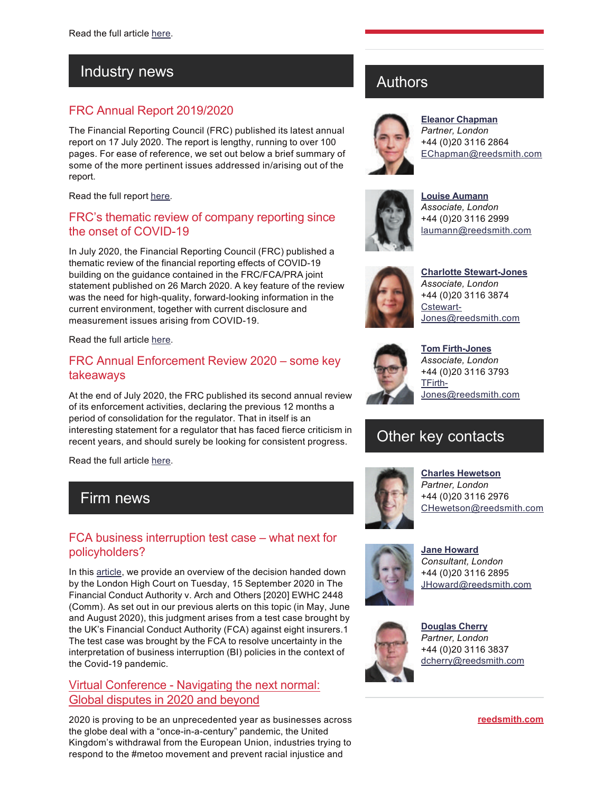### Industry news

### FRC Annual Report 2019/2020

The Financial Reporting Council (FRC) published its latest annual report on 17 July 2020. The report is lengthy, running to over 100 pages. For ease of reference, we set out below a brief summary of some of the more pertinent issues addressed in/arising out of the report.

Read the full report [here.](https://communications.reedsmith.com/67/4277/landing-pages/frc-annual-report.asp)

### FRC's thematic review of company reporting since the onset of COVID-19

In July 2020, the Financial Reporting Council (FRC) published a thematic review of the financial reporting effects of COVID-19 building on the guidance contained in the FRC/FCA/PRA joint statement published on 26 March 2020. A key feature of the review was the need for high-quality, forward-looking information in the current environment, together with current disclosure and measurement issues arising from COVID-19.

Read the full article [here.](https://communications.reedsmith.com/67/4277/landing-pages/frc-s-thematic-review-of-company-reporting-since-the-onset-of-covid-19.asp)

### FRC Annual Enforcement Review 2020 – some key takeaways

At the end of July 2020, the FRC published its second annual review of its enforcement activities, declaring the previous 12 months a period of consolidation for the regulator. That in itself is an interesting statement for a regulator that has faced fierce criticism in recent years, and should surely be looking for consistent progress.

Read the full article [here.](https://communications.reedsmith.com/67/4277/landing-pages/frc-annual-enforcement-review-2020---some-key-takeaways.asp)

### Firm news

### FCA business interruption test case – what next for policyholders?

In this [article,](https://www.reedsmith.com/en/perspectives/2020/09/fca-business-interruption-test-case-what-next-for-policyholders) we provide an overview of the decision handed down by the London High Court on Tuesday, 15 September 2020 in The Financial Conduct Authority v. Arch and Others [2020] EWHC 2448 (Comm). As set out in our previous alerts on this topic (in May, June and August 2020), this judgment arises from a test case brought by the UK's Financial Conduct Authority (FCA) against eight insurers.1 The test case was brought by the FCA to resolve uncertainty in the interpretation of business interruption (BI) policies in the context of the Covid-19 pandemic.

### Virtual Conference - Navigating the next normal: [Global disputes in 2020 and beyond](https://www.reedsmith.com/en/events/2020/10/navigating-the-next-normal-global-disputes-in-2020-and-beyond)

2020 is proving to be an unprecedented year as businesses across the globe deal with a "once-in-a-century" pandemic, the United Kingdom's withdrawal from the European Union, industries trying to respond to the #metoo movement and prevent racial injustice and

## Authors



**[Eleanor Chapman](https://www.reedsmith.com/en/professionals/c/chapman-eleanor-e)** *Partner, London* +44 (0)20 3116 2864 [EChapman@reedsmith.com](mailto:EChapman@reedsmith.com?subject=Accountancy Forum - September 2020)



**[Louise Aumann](https://www.reedsmith.com/en/professionals/a/aumann-louise)** *Associate, London* +44 (0)20 3116 2999 [laumann@reedsmith.com](mailto:laumann@reedsmith.com?subject=Accountancy Forum - September 2020)



**Charlotte Stewart-Jones** *Associate, London* +44 (0)20 3116 3874 [Cstewart-](mailto:Cstewart-Jones@reedsmith.com?subject=Accountancy Forum - September 2020)[Jones@reedsmith.com](mailto:Cstewart-Jones@reedsmith.com?subject=Accountancy Forum - September 2020)



**Tom Firth-Jones** *Associate, London* +44 (0)20 3116 3793 [TFirth-](mailto:TFirth-Jones@reedsmith.com?subject=Accountancy Forum - September 2020)[Jones@reedsmith.com](mailto:TFirth-Jones@reedsmith.com?subject=Accountancy Forum - September 2020)

## Other key contacts



**[Charles Hewetson](https://www.reedsmith.com/en/professionals/h/hewetson-charles)** *Partner, London* +44 (0)20 3116 2976 [CHewetson@reedsmith.com](mailto:CHewetson@reedsmith.com?subject=Accountancy Forum - September 2020)



**[Jane Howard](https://www.reedsmith.com/en/professionals/h/howard-jane)** *Consultant, London* +44 (0)20 3116 2895 [JHoward@reedsmith.com](mailto:JHoward@reedsmith.com?subject=Accountancy Forum - September 2020)



**[Douglas Cherry](https://www.reedsmith.com/en/professionals/c/cherry-douglas-e)** *Partner, London* +44 (0)20 3116 3837 [dcherry@reedsmith.com](mailto:dcherry@reedsmith.com?subject=Accountancy Forum - September 2020)

**[reedsmith.com](https://www.reedsmith.com/)**